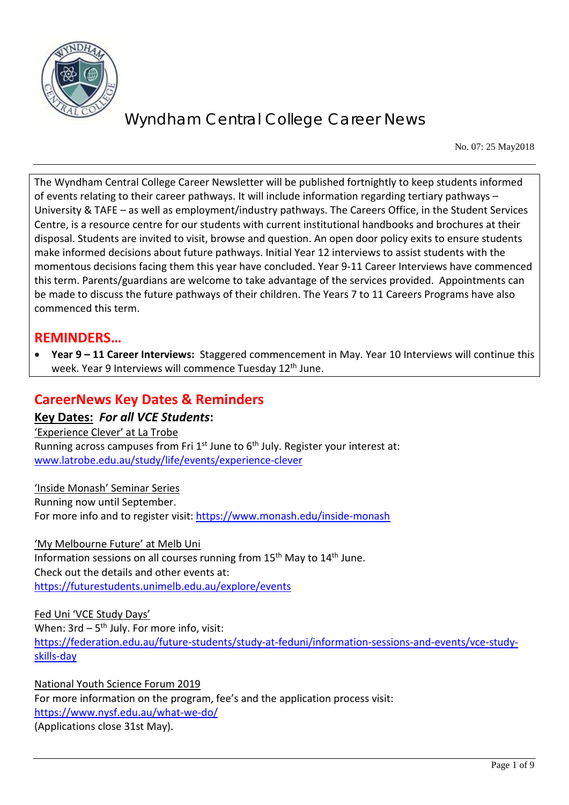

No. 07: 25 May2018

The Wyndham Central College Career Newsletter will be published fortnightly to keep students informed of events relating to their career pathways. It will include information regarding tertiary pathways – University & TAFE – as well as employment/industry pathways. The Careers Office, in the Student Services Centre, is a resource centre for our students with current institutional handbooks and brochures at their disposal. Students are invited to visit, browse and question. An open door policy exits to ensure students make informed decisions about future pathways. Initial Year 12 interviews to assist students with the momentous decisions facing them this year have concluded. Year 9-11 Career Interviews have commenced this term. Parents/guardians are welcome to take advantage of the services provided. Appointments can be made to discuss the future pathways of their children. The Years 7 to 11 Careers Programs have also commenced this term.

## **REMINDERS…**

• **Year 9 – 11 Career Interviews:** Staggered commencement in May. Year 10 Interviews will continue this week. Year 9 Interviews will commence Tuesday 12<sup>th</sup> June.

### **CareerNews Key Dates & Reminders**

**Key Dates:** *For all VCE Students***:** 'Experience Clever' at La Trobe Running across campuses from Fri  $1<sup>st</sup>$  June to  $6<sup>th</sup>$  July. Register your interest at: [www.latrobe.edu.au/study/life/events/experience-clever](http://www.latrobe.edu.au/study/life/events/experience-clever) 

'Inside Monash' Seminar Series Running now until September. For more info and to register visit:<https://www.monash.edu/inside-monash>

'My Melbourne Future' at Melb Uni Information sessions on all courses running from  $15<sup>th</sup>$  May to  $14<sup>th</sup>$  June. Check out the details and other events at: <https://futurestudents.unimelb.edu.au/explore/events>

Fed Uni 'VCE Study Days' When:  $3rd - 5<sup>th</sup>$  July. For more info, visit: [https://federation.edu.au/future-students/study-at-feduni/information-sessions-and-events/vce-study](https://federation.edu.au/future-students/study-at-feduni/information-sessions-and-events/vce-study-skills-day)[skills-day](https://federation.edu.au/future-students/study-at-feduni/information-sessions-and-events/vce-study-skills-day)

National Youth Science Forum 2019 For more information on the program, fee's and the application process visit: <https://www.nysf.edu.au/what-we-do/> (Applications close 31st May).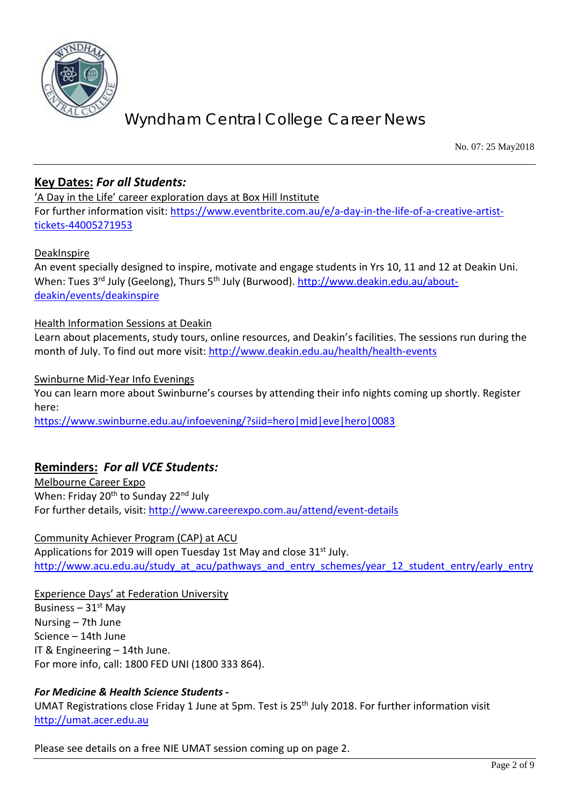

No. 07: 25 May2018

### **Key Dates:** *For all Students:*

'A Day in the Life' career exploration days at Box Hill Institute For further information visit: [https://www.eventbrite.com.au/e/a-day-in-the-life-of-a-creative-artist](https://www.eventbrite.com.au/e/a-day-in-the-life-of-a-creative-artist-tickets-44005271953)[tickets-44005271953](https://www.eventbrite.com.au/e/a-day-in-the-life-of-a-creative-artist-tickets-44005271953)

#### DeakInspire

An event specially designed to inspire, motivate and engage students in Yrs 10, 11 and 12 at Deakin Uni. When: Tues 3rd July (Geelong), Thurs 5th July (Burwood). [http://www.deakin.edu.au/about](http://www.deakin.edu.au/about-deakin/events/deakinspire)[deakin/events/deakinspire](http://www.deakin.edu.au/about-deakin/events/deakinspire)

#### Health Information Sessions at Deakin

Learn about placements, study tours, online resources, and Deakin's facilities. The sessions run during the month of July. To find out more visit:<http://www.deakin.edu.au/health/health-events>

Swinburne Mid-Year Info Evenings

You can learn more about Swinburne's courses by attending their info nights coming up shortly. Register here:

<https://www.swinburne.edu.au/infoevening/?siid=hero|mid|eve|hero|0083>

### **Reminders:** *For all VCE Students:*

Melbourne Career Expo When: Friday 20<sup>th</sup> to Sunday 22<sup>nd</sup> July For further details, visit:<http://www.careerexpo.com.au/attend/event-details>

#### Community Achiever Program (CAP) at ACU

Applications for 2019 will open Tuesday 1st May and close 31<sup>st</sup> July. [http://www.acu.edu.au/study\\_at\\_acu/pathways\\_and\\_entry\\_schemes/year\\_12\\_student\\_entry/early\\_entry](http://www.acu.edu.au/study_at_acu/pathways_and_entry_schemes/year_12_student_entry/early_entry)

Experience Days' at Federation University

Business –  $31<sup>st</sup>$  May Nursing – 7th June Science – 14th June IT & Engineering – 14th June. For more info, call: 1800 FED UNI (1800 333 864).

#### *For Medicine & Health Science Students -*

UMAT Registrations close Friday 1 June at 5pm. Test is 25<sup>th</sup> July 2018. For further information visit [http://umat.acer.edu.au](http://umat.acer.edu.au/)

Please see details on a free NIE UMAT session coming up on page 2.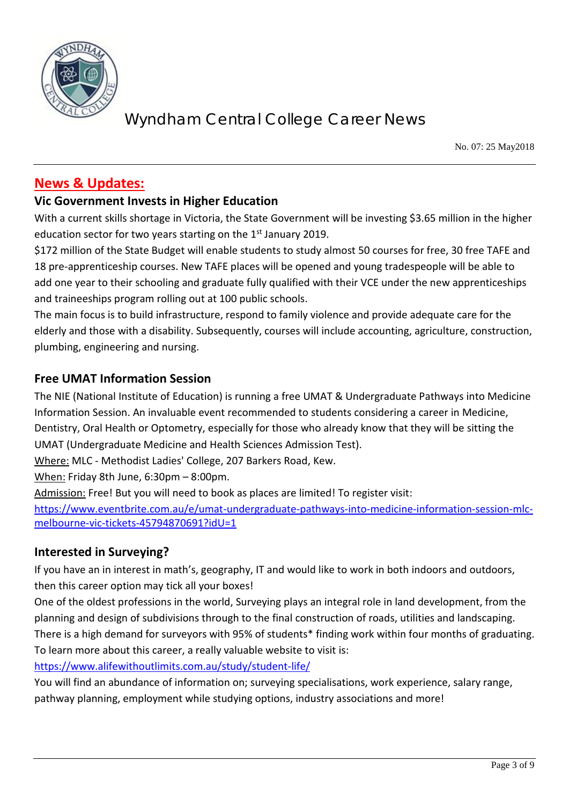

No. 07: 25 May2018

## **News & Updates:**

### **Vic Government Invests in Higher Education**

With a current skills shortage in Victoria, the State Government will be investing \$3.65 million in the higher education sector for two years starting on the 1<sup>st</sup> January 2019.

\$172 million of the State Budget will enable students to study almost 50 courses for free, 30 free TAFE and 18 pre-apprenticeship courses. New TAFE places will be opened and young tradespeople will be able to add one year to their schooling and graduate fully qualified with their VCE under the new apprenticeships and traineeships program rolling out at 100 public schools.

The main focus is to build infrastructure, respond to family violence and provide adequate care for the elderly and those with a disability. Subsequently, courses will include accounting, agriculture, construction, plumbing, engineering and nursing.

#### **Free UMAT Information Session**

The NIE (National Institute of Education) is running a free UMAT & Undergraduate Pathways into Medicine Information Session. An invaluable event recommended to students considering a career in Medicine, Dentistry, Oral Health or Optometry, especially for those who already know that they will be sitting the UMAT (Undergraduate Medicine and Health Sciences Admission Test).

Where: MLC - Methodist Ladies' College, 207 Barkers Road, Kew.

When: Friday 8th June, 6:30pm – 8:00pm.

Admission: Free! But you will need to book as places are limited! To register visit:

[https://www.eventbrite.com.au/e/umat-undergraduate-pathways-into-medicine-information-session-mlc](https://www.eventbrite.com.au/e/umat-undergraduate-pathways-into-medicine-information-session-mlc-melbourne-vic-tickets-45794870691?idU=1)[melbourne-vic-tickets-45794870691?idU=1](https://www.eventbrite.com.au/e/umat-undergraduate-pathways-into-medicine-information-session-mlc-melbourne-vic-tickets-45794870691?idU=1)

### **Interested in Surveying?**

If you have an in interest in math's, geography, IT and would like to work in both indoors and outdoors, then this career option may tick all your boxes!

One of the oldest professions in the world, Surveying plays an integral role in land development, from the planning and design of subdivisions through to the final construction of roads, utilities and landscaping. There is a high demand for surveyors with 95% of students\* finding work within four months of graduating. To learn more about this career, a really valuable website to visit is:

<https://www.alifewithoutlimits.com.au/study/student-life/>

You will find an abundance of information on; surveying specialisations, work experience, salary range, pathway planning, employment while studying options, industry associations and more!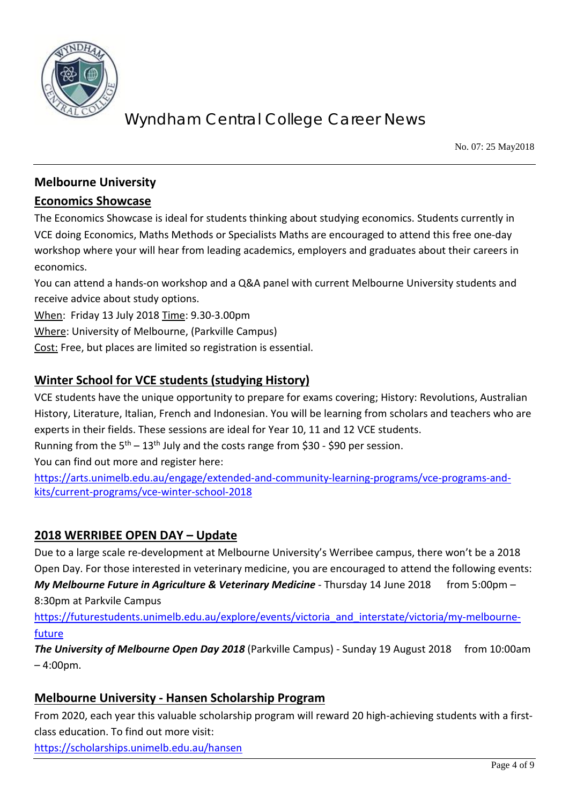

No. 07: 25 May2018

### **Melbourne University**

#### **Economics Showcase**

The Economics Showcase is ideal for students thinking about studying economics. Students currently in VCE doing Economics, Maths Methods or Specialists Maths are encouraged to attend this free one-day workshop where your will hear from leading academics, employers and graduates about their careers in economics.

You can attend a hands-on workshop and a Q&A panel with current Melbourne University students and receive advice about study options.

When: Friday 13 July 2018 Time: 9.30-3.00pm

Where: University of Melbourne, (Parkville Campus)

Cost: Free, but places are limited so registration is essential.

### **Winter School for VCE students (studying History)**

VCE students have the unique opportunity to prepare for exams covering; History: Revolutions, Australian History, Literature, Italian, French and Indonesian. You will be learning from scholars and teachers who are experts in their fields. These sessions are ideal for Year 10, 11 and 12 VCE students.

Running from the  $5<sup>th</sup> - 13<sup>th</sup>$  July and the costs range from \$30 - \$90 per session.

You can find out more and register here:

[https://arts.unimelb.edu.au/engage/extended-and-community-learning-programs/vce-programs-and](https://arts.unimelb.edu.au/engage/extended-and-community-learning-programs/vce-programs-and-kits/current-programs/vce-winter-school-2018)[kits/current-programs/vce-winter-school-2018](https://arts.unimelb.edu.au/engage/extended-and-community-learning-programs/vce-programs-and-kits/current-programs/vce-winter-school-2018)

### **2018 WERRIBEE OPEN DAY – Update**

Due to a large scale re-development at Melbourne University's Werribee campus, there won't be a 2018 Open Day. For those interested in veterinary medicine, you are encouraged to attend the following events: *My Melbourne Future in Agriculture & Veterinary Medicine* - Thursday 14 June 2018 from 5:00pm – 8:30pm at Parkvile Campus

[https://futurestudents.unimelb.edu.au/explore/events/victoria\\_and\\_interstate/victoria/my-melbourne](https://futurestudents.unimelb.edu.au/explore/events/victoria_and_interstate/victoria/my-melbourne-future)[future](https://futurestudents.unimelb.edu.au/explore/events/victoria_and_interstate/victoria/my-melbourne-future)

**The University of Melbourne Open Day 2018** (Parkville Campus) - Sunday 19 August 2018 from 10:00am  $-4:00$ pm.

#### **Melbourne University - Hansen Scholarship Program**

From 2020, each year this valuable scholarship program will reward 20 high-achieving students with a firstclass education. To find out more visit:

<https://scholarships.unimelb.edu.au/hansen>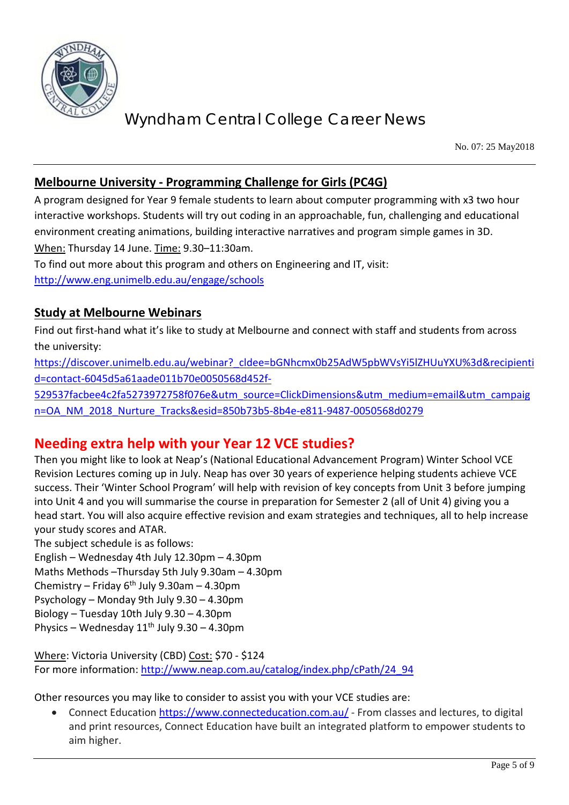

No. 07: 25 May2018

### **Melbourne University - Programming Challenge for Girls (PC4G)**

A program designed for Year 9 female students to learn about computer programming with x3 two hour interactive workshops. Students will try out coding in an approachable, fun, challenging and educational environment creating animations, building interactive narratives and program simple games in 3D. When: Thursday 14 June. Time: 9.30–11:30am.

To find out more about this program and others on Engineering and IT, visit: <http://www.eng.unimelb.edu.au/engage/schools>

### **Study at Melbourne Webinars**

Find out first-hand what it's like to study at Melbourne and connect with staff and students from across the university:

[https://discover.unimelb.edu.au/webinar?\\_cldee=bGNhcmx0b25AdW5pbWVsYi5lZHUuYXU%3d&recipienti](https://discover.unimelb.edu.au/webinar?_cldee=bGNhcmx0b25AdW5pbWVsYi5lZHUuYXU%3d&recipientid=contact-6045d5a61aade011b70e0050568d452f-529537facbee4c2fa5273972758f076e&utm_source=ClickDimensions&utm_medium=email&utm_campaign=OA_NM_2018_Nurture_Tracks&esid=850b73b5-8b4e-e811-9487-0050568d0279) [d=contact-6045d5a61aade011b70e0050568d452f-](https://discover.unimelb.edu.au/webinar?_cldee=bGNhcmx0b25AdW5pbWVsYi5lZHUuYXU%3d&recipientid=contact-6045d5a61aade011b70e0050568d452f-529537facbee4c2fa5273972758f076e&utm_source=ClickDimensions&utm_medium=email&utm_campaign=OA_NM_2018_Nurture_Tracks&esid=850b73b5-8b4e-e811-9487-0050568d0279)

[529537facbee4c2fa5273972758f076e&utm\\_source=ClickDimensions&utm\\_medium=email&utm\\_campaig](https://discover.unimelb.edu.au/webinar?_cldee=bGNhcmx0b25AdW5pbWVsYi5lZHUuYXU%3d&recipientid=contact-6045d5a61aade011b70e0050568d452f-529537facbee4c2fa5273972758f076e&utm_source=ClickDimensions&utm_medium=email&utm_campaign=OA_NM_2018_Nurture_Tracks&esid=850b73b5-8b4e-e811-9487-0050568d0279) [n=OA\\_NM\\_2018\\_Nurture\\_Tracks&esid=850b73b5-8b4e-e811-9487-0050568d0279](https://discover.unimelb.edu.au/webinar?_cldee=bGNhcmx0b25AdW5pbWVsYi5lZHUuYXU%3d&recipientid=contact-6045d5a61aade011b70e0050568d452f-529537facbee4c2fa5273972758f076e&utm_source=ClickDimensions&utm_medium=email&utm_campaign=OA_NM_2018_Nurture_Tracks&esid=850b73b5-8b4e-e811-9487-0050568d0279)

## **Needing extra help with your Year 12 VCE studies?**

Then you might like to look at Neap's (National Educational Advancement Program) Winter School VCE Revision Lectures coming up in July. Neap has over 30 years of experience helping students achieve VCE success. Their 'Winter School Program' will help with revision of key concepts from Unit 3 before jumping into Unit 4 and you will summarise the course in preparation for Semester 2 (all of Unit 4) giving you a head start. You will also acquire effective revision and exam strategies and techniques, all to help increase your study scores and ATAR.

The subject schedule is as follows:

English – Wednesday 4th July 12.30pm – 4.30pm Maths Methods –Thursday 5th July 9.30am – 4.30pm Chemistry – Friday  $6<sup>th</sup>$  July 9.30am – 4.30pm

Psychology – Monday 9th July 9.30 – 4.30pm

Biology – Tuesday 10th July 9.30 – 4.30pm

Physics – Wednesday  $11<sup>th</sup>$  July 9.30 – 4.30pm

Where: Victoria University (CBD) Cost: \$70 - \$124 For more information: [http://www.neap.com.au/catalog/index.php/cPath/24\\_94](http://www.neap.com.au/catalog/index.php/cPath/24_94)

Other resources you may like to consider to assist you with your VCE studies are:

• Connect Education<https://www.connecteducation.com.au/> - From classes and lectures, to digital and print resources, Connect Education have built an integrated platform to empower students to aim higher.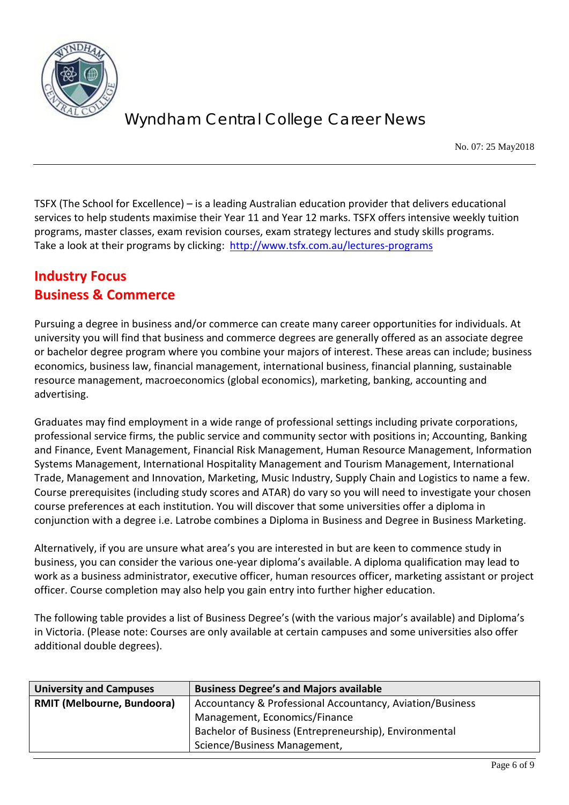

No. 07: 25 May2018

TSFX (The School for Excellence) – is a leading Australian education provider that delivers educational services to help students maximise their Year 11 and Year 12 marks. TSFX offers intensive weekly tuition programs, master classes, exam revision courses, exam strategy lectures and study skills programs. Take a look at their programs by clicking: <http://www.tsfx.com.au/lectures-programs>

## **Industry Focus Business & Commerce**

Pursuing a degree in business and/or commerce can create many career opportunities for individuals. At university you will find that business and commerce degrees are generally offered as an associate degree or bachelor degree program where you combine your majors of interest. These areas can include; business economics, business law, financial management, international business, financial planning, sustainable resource management, macroeconomics (global economics), marketing, banking, accounting and advertising.

Graduates may find employment in a wide range of professional settings including private corporations, professional service firms, the public service and community sector with positions in; Accounting, Banking and Finance, Event Management, Financial Risk Management, Human Resource Management, Information Systems Management, International Hospitality Management and Tourism Management, International Trade, Management and Innovation, Marketing, Music Industry, Supply Chain and Logistics to name a few. Course prerequisites (including study scores and ATAR) do vary so you will need to investigate your chosen course preferences at each institution. You will discover that some universities offer a diploma in conjunction with a degree i.e. Latrobe combines a Diploma in Business and Degree in Business Marketing.

Alternatively, if you are unsure what area's you are interested in but are keen to commence study in business, you can consider the various one-year diploma's available. A diploma qualification may lead to work as a business administrator, executive officer, human resources officer, marketing assistant or project officer. Course completion may also help you gain entry into further higher education.

The following table provides a list of Business Degree's (with the various major's available) and Diploma's in Victoria. (Please note: Courses are only available at certain campuses and some universities also offer additional double degrees).

| <b>University and Campuses</b>    | <b>Business Degree's and Majors available</b>             |
|-----------------------------------|-----------------------------------------------------------|
| <b>RMIT (Melbourne, Bundoora)</b> | Accountancy & Professional Accountancy, Aviation/Business |
|                                   | Management, Economics/Finance                             |
|                                   | Bachelor of Business (Entrepreneurship), Environmental    |
|                                   | Science/Business Management,                              |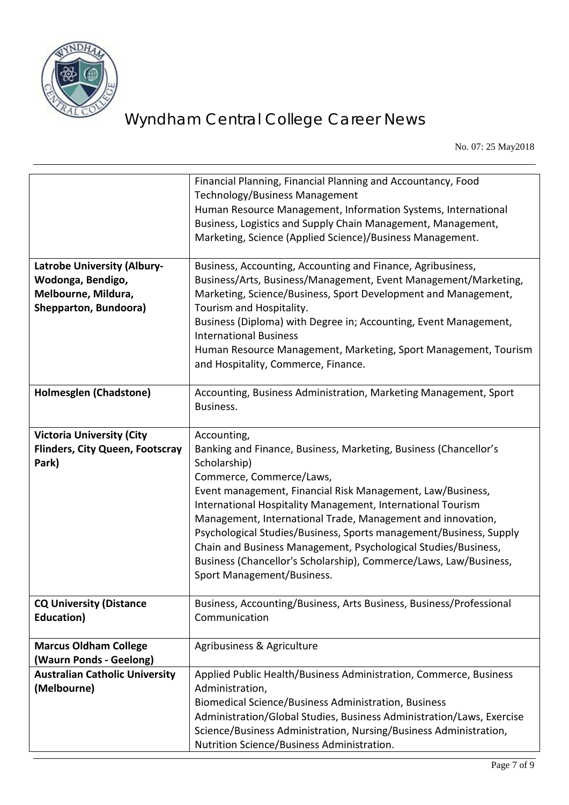

No. 07: 25 May2018

|                                        | Financial Planning, Financial Planning and Accountancy, Food<br>Technology/Business Management<br>Human Resource Management, Information Systems, International<br>Business, Logistics and Supply Chain Management, Management,<br>Marketing, Science (Applied Science)/Business Management. |
|----------------------------------------|----------------------------------------------------------------------------------------------------------------------------------------------------------------------------------------------------------------------------------------------------------------------------------------------|
| <b>Latrobe University (Albury-</b>     | Business, Accounting, Accounting and Finance, Agribusiness,                                                                                                                                                                                                                                  |
| Wodonga, Bendigo,                      | Business/Arts, Business/Management, Event Management/Marketing,                                                                                                                                                                                                                              |
| Melbourne, Mildura,                    | Marketing, Science/Business, Sport Development and Management,                                                                                                                                                                                                                               |
| Shepparton, Bundoora)                  | Tourism and Hospitality.                                                                                                                                                                                                                                                                     |
|                                        | Business (Diploma) with Degree in; Accounting, Event Management,                                                                                                                                                                                                                             |
|                                        | <b>International Business</b>                                                                                                                                                                                                                                                                |
|                                        | Human Resource Management, Marketing, Sport Management, Tourism                                                                                                                                                                                                                              |
|                                        | and Hospitality, Commerce, Finance.                                                                                                                                                                                                                                                          |
| Holmesglen (Chadstone)                 | Accounting, Business Administration, Marketing Management, Sport                                                                                                                                                                                                                             |
|                                        | Business.                                                                                                                                                                                                                                                                                    |
|                                        |                                                                                                                                                                                                                                                                                              |
| <b>Victoria University (City</b>       | Accounting,                                                                                                                                                                                                                                                                                  |
| <b>Flinders, City Queen, Footscray</b> | Banking and Finance, Business, Marketing, Business (Chancellor's                                                                                                                                                                                                                             |
| Park)                                  | Scholarship)                                                                                                                                                                                                                                                                                 |
|                                        | Commerce, Commerce/Laws,                                                                                                                                                                                                                                                                     |
|                                        | Event management, Financial Risk Management, Law/Business,                                                                                                                                                                                                                                   |
|                                        | International Hospitality Management, International Tourism                                                                                                                                                                                                                                  |
|                                        | Management, International Trade, Management and innovation,                                                                                                                                                                                                                                  |
|                                        | Psychological Studies/Business, Sports management/Business, Supply                                                                                                                                                                                                                           |
|                                        | Chain and Business Management, Psychological Studies/Business,                                                                                                                                                                                                                               |
|                                        | Business (Chancellor's Scholarship), Commerce/Laws, Law/Business,                                                                                                                                                                                                                            |
|                                        | Sport Management/Business.                                                                                                                                                                                                                                                                   |
| <b>CQ University (Distance</b>         | Business, Accounting/Business, Arts Business, Business/Professional                                                                                                                                                                                                                          |
| Education)                             | Communication                                                                                                                                                                                                                                                                                |
|                                        |                                                                                                                                                                                                                                                                                              |
| <b>Marcus Oldham College</b>           | Agribusiness & Agriculture                                                                                                                                                                                                                                                                   |
| (Waurn Ponds - Geelong)                |                                                                                                                                                                                                                                                                                              |
| <b>Australian Catholic University</b>  | Applied Public Health/Business Administration, Commerce, Business                                                                                                                                                                                                                            |
| (Melbourne)                            | Administration,                                                                                                                                                                                                                                                                              |
|                                        | Biomedical Science/Business Administration, Business                                                                                                                                                                                                                                         |
|                                        | Administration/Global Studies, Business Administration/Laws, Exercise                                                                                                                                                                                                                        |
|                                        | Science/Business Administration, Nursing/Business Administration,                                                                                                                                                                                                                            |
|                                        | Nutrition Science/Business Administration.                                                                                                                                                                                                                                                   |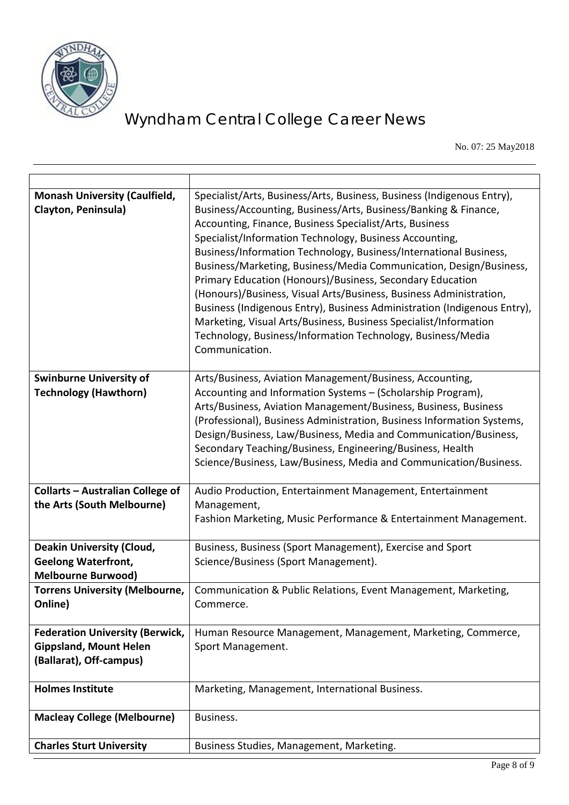

No. 07: 25 May2018

| <b>Monash University (Caulfield,</b><br>Clayton, Peninsula)                                        | Specialist/Arts, Business/Arts, Business, Business (Indigenous Entry),<br>Business/Accounting, Business/Arts, Business/Banking & Finance,<br>Accounting, Finance, Business Specialist/Arts, Business<br>Specialist/Information Technology, Business Accounting,<br>Business/Information Technology, Business/International Business,<br>Business/Marketing, Business/Media Communication, Design/Business,<br>Primary Education (Honours)/Business, Secondary Education<br>(Honours)/Business, Visual Arts/Business, Business Administration,<br>Business (Indigenous Entry), Business Administration (Indigenous Entry),<br>Marketing, Visual Arts/Business, Business Specialist/Information<br>Technology, Business/Information Technology, Business/Media<br>Communication. |
|----------------------------------------------------------------------------------------------------|--------------------------------------------------------------------------------------------------------------------------------------------------------------------------------------------------------------------------------------------------------------------------------------------------------------------------------------------------------------------------------------------------------------------------------------------------------------------------------------------------------------------------------------------------------------------------------------------------------------------------------------------------------------------------------------------------------------------------------------------------------------------------------|
| <b>Swinburne University of</b><br><b>Technology (Hawthorn)</b>                                     | Arts/Business, Aviation Management/Business, Accounting,<br>Accounting and Information Systems - (Scholarship Program),<br>Arts/Business, Aviation Management/Business, Business, Business<br>(Professional), Business Administration, Business Information Systems,<br>Design/Business, Law/Business, Media and Communication/Business,<br>Secondary Teaching/Business, Engineering/Business, Health<br>Science/Business, Law/Business, Media and Communication/Business.                                                                                                                                                                                                                                                                                                     |
| <b>Collarts - Australian College of</b><br>the Arts (South Melbourne)                              | Audio Production, Entertainment Management, Entertainment<br>Management,<br>Fashion Marketing, Music Performance & Entertainment Management.                                                                                                                                                                                                                                                                                                                                                                                                                                                                                                                                                                                                                                   |
| <b>Deakin University (Cloud,</b><br><b>Geelong Waterfront,</b><br><b>Melbourne Burwood)</b>        | Business, Business (Sport Management), Exercise and Sport<br>Science/Business (Sport Management).                                                                                                                                                                                                                                                                                                                                                                                                                                                                                                                                                                                                                                                                              |
| <b>Torrens University (Melbourne,</b><br>Online)                                                   | Communication & Public Relations, Event Management, Marketing,<br>Commerce.                                                                                                                                                                                                                                                                                                                                                                                                                                                                                                                                                                                                                                                                                                    |
| <b>Federation University (Berwick,</b><br><b>Gippsland, Mount Helen</b><br>(Ballarat), Off-campus) | Human Resource Management, Management, Marketing, Commerce,<br>Sport Management.                                                                                                                                                                                                                                                                                                                                                                                                                                                                                                                                                                                                                                                                                               |
| <b>Holmes Institute</b>                                                                            | Marketing, Management, International Business.                                                                                                                                                                                                                                                                                                                                                                                                                                                                                                                                                                                                                                                                                                                                 |
| <b>Macleay College (Melbourne)</b>                                                                 | Business.                                                                                                                                                                                                                                                                                                                                                                                                                                                                                                                                                                                                                                                                                                                                                                      |
| <b>Charles Sturt University</b>                                                                    | Business Studies, Management, Marketing.                                                                                                                                                                                                                                                                                                                                                                                                                                                                                                                                                                                                                                                                                                                                       |